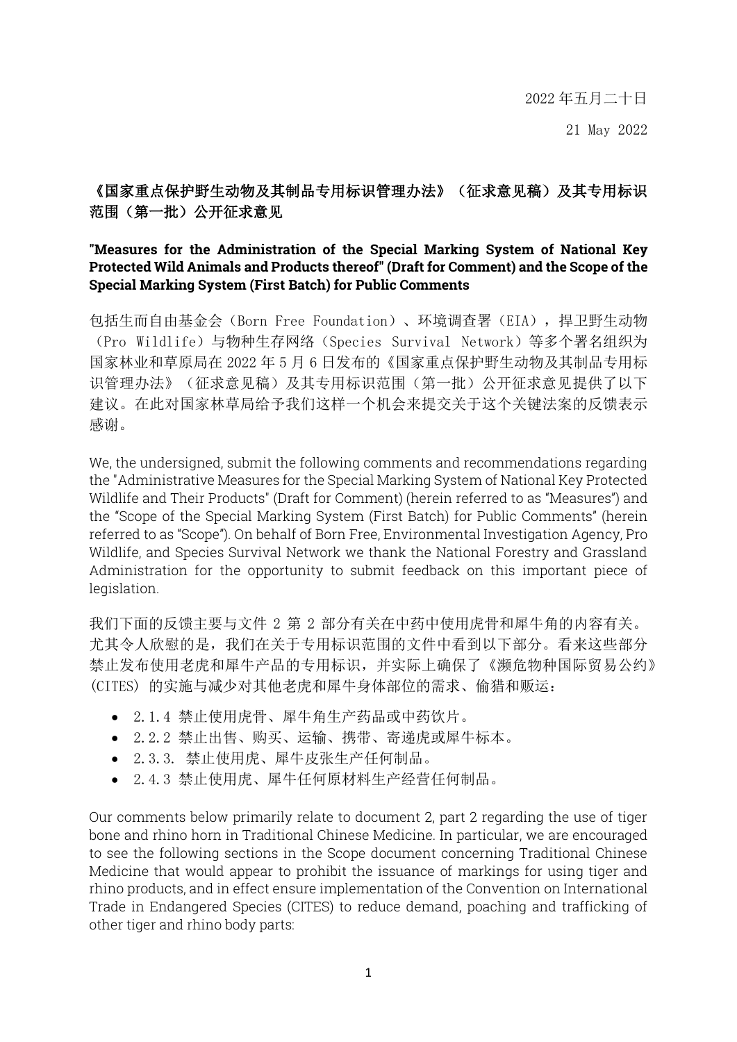2022 年五月二十日 21 May 2022

## 《国家重点保护野生动物及其制品专用标识管理办法》(征求意见稿)及其专用标识 范围(第一批)公开征求意见

## **"Measures for the Administration of the Special Marking System of National Key Protected Wild Animals and Products thereof" (Draft for Comment) and the Scope of the Special Marking System (First Batch) for Public Comments**

包括生而自由基金会(Born Free Foundation)、环境调查署(EIA),捍卫野生动物 (Pro Wildlife)与物种生存网络(Species Survival Network)等多个署名组织为 国家林业和草原局在 2022 年 5 月 6 日发布的《国家重点保护野生动物及其制品专用标 识管理办法》(征求意见稿)及其专用标识范围(第一批)公开征求意见提供了以下 建议。在此对国家林草局给予我们这样一个机会来提交关于这个关键法案的反馈表示 感谢。

We, the undersigned, submit the following comments and recommendations regarding the "Administrative Measures for the Special Marking System of National Key Protected Wildlife and Their Products" (Draft for Comment) (herein referred to as "Measures") and the "Scope of the Special Marking System (First Batch) for Public Comments" (herein referred to as "Scope"). On behalf of Born Free, Environmental Investigation Agency, Pro Wildlife, and Species Survival Network we thank the National Forestry and Grassland Administration for the opportunity to submit feedback on this important piece of legislation.

我们下面的反馈主要与文件 2 第 2 部分有关在中药中使用虎骨和犀牛角的内容有关。 尤其令人欣慰的是,我们在关于专用标识范围的文件中看到以下部分。看来这些部分 禁止发布使用老虎和犀牛产品的专用标识,并实际上确保了《濒危物种国际贸易公约》 (CITES) 的实施与减少对其他老虎和犀牛身体部位的需求、偷猎和贩运:

- 2.1.4 禁止使用虎骨、犀牛角生产药品或中药饮片。
- 2.2.2 禁止出售、购买、运输、携带、寄递虎或犀牛标本。
- 2.3.3. 禁止使用虎、犀牛皮张生产任何制品。
- 2.4.3 禁止使用虎、犀牛任何原材料生产经营任何制品。

Our comments below primarily relate to document 2, part 2 regarding the use of tiger bone and rhino horn in Traditional Chinese Medicine. In particular, we are encouraged to see the following sections in the Scope document concerning Traditional Chinese Medicine that would appear to prohibit the issuance of markings for using tiger and rhino products, and in effect ensure implementation of the Convention on International Trade in Endangered Species (CITES) to reduce demand, poaching and trafficking of other tiger and rhino body parts: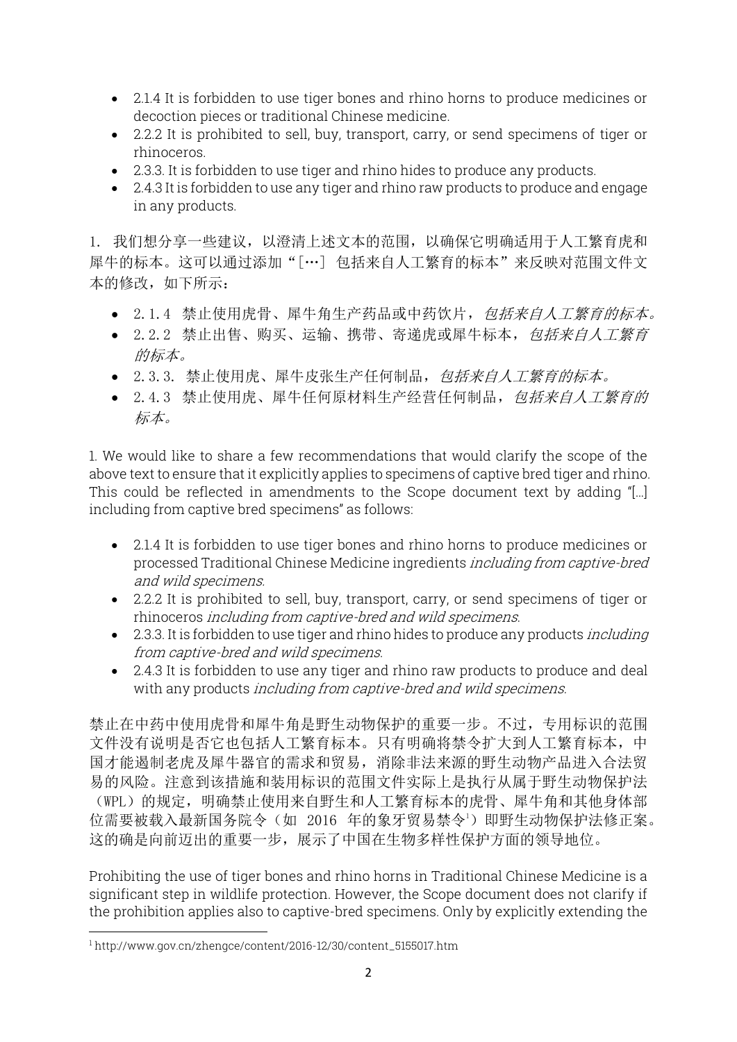- 2.1.4 It is forbidden to use tiger bones and rhino horns to produce medicines or decoction pieces or traditional Chinese medicine.
- 2.2.2 It is prohibited to sell, buy, transport, carry, or send specimens of tiger or rhinoceros.
- 2.3.3. It is forbidden to use tiger and rhino hides to produce any products.
- 2.4.3 It is forbidden to use any tiger and rhino raw products to produce and engage in any products.

1. 我们想分享一些建议,以澄清上述文本的范围,以确保它明确适用于人工繁育虎和 犀牛的标本。这可以通过添加"[…] 包括来自人工繁育的标本"来反映对范围文件文 本的修改,如下所示:

- 2.1.4 禁止使用虎骨、犀牛角生产药品或中药饮片,包括来自人工繁育的标本。
- 2.2.2 禁止出售、购买、运输、携带、寄递虎或犀牛标本, 包括来自人工繁育 的标本。
- 2.3.3. 禁止使用虎、犀牛皮张生产任何制品, 包括来自人工繁育的标本。
- 2.4.3 禁止使用虎、犀牛任何原材料生产经营任何制品,包括来自人工繁育的 标本。

1. We would like to share a few recommendations that would clarify the scope of the above text to ensure that it explicitly applies to specimens of captive bred tiger and rhino. This could be reflected in amendments to the Scope document text by adding "[…] including from captive bred specimens" as follows:

- 2.1.4 It is forbidden to use tiger bones and rhino horns to produce medicines or processed Traditional Chinese Medicine ingredients including from captive-bred and wild specimens.
- 2.2.2 It is prohibited to sell, buy, transport, carry, or send specimens of tiger or rhinoceros including from captive-bred and wild specimens.
- 2.3.3. It is forbidden to use tiger and rhino hides to produce any products *including* from captive-bred and wild specimens.
- 2.4.3 It is forbidden to use any tiger and rhino raw products to produce and deal with any products *including from captive-bred and wild specimens*.

禁止在中药中使用虎骨和犀牛角是野生动物保护的重要一步。不过,专用标识的范围 文件没有说明是否它也包括人工繁育标本。只有明确将禁令扩大到人工繁育标本,中 国才能遏制老虎及犀牛器官的需求和贸易,消除非法来源的野生动物产品进入合法贸 易的风险。注意到该措施和装用标识的范围文件实际上是执行从属于野生动物保护法 (WPL)的规定,明确禁止使用来自野生和人工繁育标本的虎骨、犀牛角和其他身体部 位需要被载入最新国务院令(如 2016 年的象牙贸易禁令<sup>1</sup>)即野生动物保护法修正案。 这的确是向前迈出的重要一步,展示了中国在生物多样性保护方面的领导地位。

Prohibiting the use of tiger bones and rhino horns in Traditional Chinese Medicine is a significant step in wildlife protection. However, the Scope document does not clarify if the prohibition applies also to captive-bred specimens. Only by explicitly extending the

<sup>1</sup> http://www.gov.cn/zhengce/content/2016-12/30/content\_5155017.htm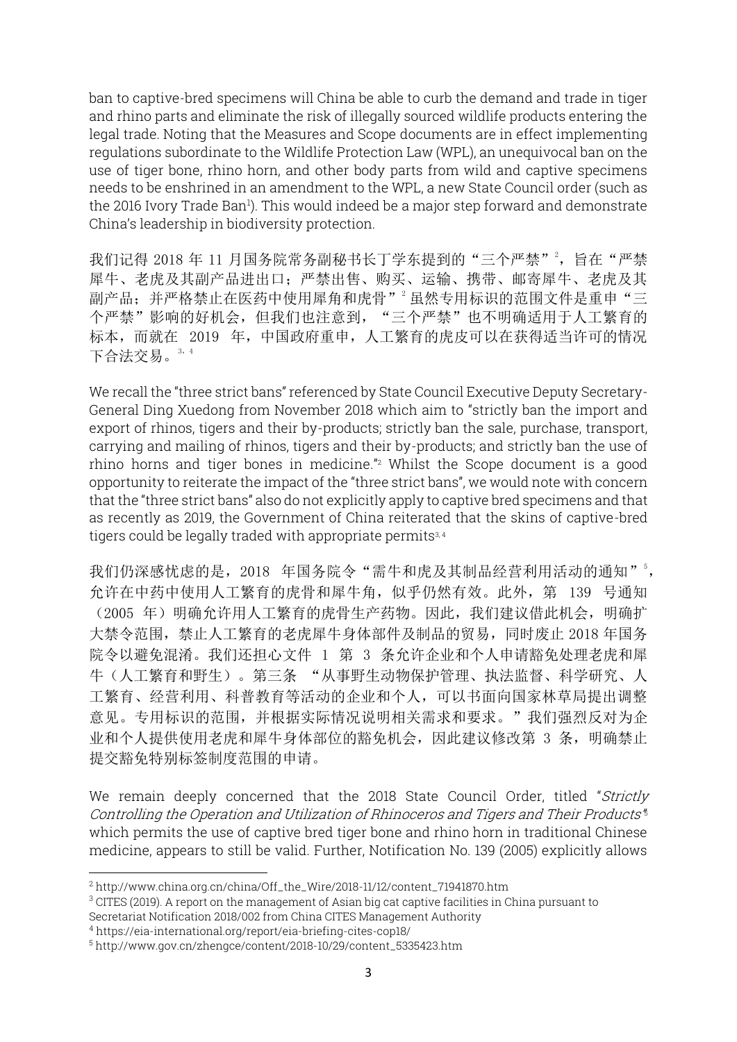ban to captive-bred specimens will China be able to curb the demand and trade in tiger and rhino parts and eliminate the risk of illegally sourced wildlife products entering the legal trade. Noting that the Measures and Scope documents are in effect implementing regulations subordinate to the Wildlife Protection Law (WPL), an unequivocal ban on the use of tiger bone, rhino horn, and other body parts from wild and captive specimens needs to be enshrined in an amendment to the WPL, a new State Council order (such as the 2016 Ivory Trade Ban<sup>1</sup>). This would indeed be a major step forward and demonstrate China's leadership in biodiversity protection.

我们记得 2018 年 11 月国务院常务副秘书长丁学东提到的"三个严禁"2, 旨在"严禁 犀牛、老虎及其副产品进出口;严禁出售、购买、运输、携带、邮寄犀牛、老虎及其 副产品;并严格禁止在医药中使用犀角和虎骨"<sup>2</sup> 虽然专用标识的范围文件是重申"三 个严禁"影响的好机会,但我们也注意到, "三个严禁"也不明确适用于人工繁育的 标本,而就在 2019 年,中国政府重申,人工繁育的虎皮可以在获得适当许可的情况 下合法交易。<sup>3</sup>,<sup>4</sup>

We recall the "three strict bans" referenced by State Council Executive Deputy Secretary-General Ding Xuedong from November 2018 which aim to "strictly ban the import and export of rhinos, tigers and their by-products; strictly ban the sale, purchase, transport, carrying and mailing of rhinos, tigers and their by-products; and strictly ban the use of rhino horns and tiger bones in medicine."<sup>2</sup> Whilst the Scope document is a good opportunity to reiterate the impact of the "three strict bans", we would note with concern that the "three strict bans" also do not explicitly apply to captive bred specimens and that as recently as 2019, the Government of China reiterated that the skins of captive-bred tigers could be legally traded with appropriate permits<sup>3,4</sup>

我们仍深感忧虑的是,2018 年国务院令"需牛和虎及其制品经营利用活动的通知"5, 允许在中药中使用人工繁育的虎骨和犀牛角,似乎仍然有效。此外,第 139 号通知 (2005 年)明确允许用人工繁育的虎骨生产药物。因此,我们建议借此机会,明确扩 大禁令范围,禁止人工繁育的老虎犀牛身体部件及制品的贸易,同时废止 2018 年国务 院令以避免混淆。我们还担心文件 1 第 3 条允许企业和个人申请豁免处理老虎和犀 牛(人工繁育和野生)。第三条 "从事野生动物保护管理、执法监督、科学研究、人 工繁育、经营利用、科普教育等活动的企业和个人,可以书面向国家林草局提出调整 意见。专用标识的范围,并根据实际情况说明相关需求和要求。"我们强烈反对为企 业和个人提供使用老虎和犀牛身体部位的豁免机会,因此建议修改第 3 条,明确禁止 提交豁免特别标签制度范围的申请。

We remain deeply concerned that the 2018 State Council Order, titled "Strictly Controlling the Operation and Utilization of Rhinoceros and Tigers and Their Products" 5 which permits the use of captive bred tiger bone and rhino horn in traditional Chinese medicine, appears to still be valid. Further, Notification No. 139 (2005) explicitly allows

<sup>2</sup> http://www.china.org.cn/china/Off\_the\_Wire/2018-11/12/content\_71941870.htm

<sup>3</sup> CITES (2019). A report on the management of Asian big cat captive facilities in China pursuant to Secretariat Notification 2018/002 from China CITES Management Authority

<sup>4</sup> https://eia-international.org/report/eia-briefing-cites-cop18/

<sup>5</sup> http://www.gov.cn/zhengce/content/2018-10/29/content\_5335423.htm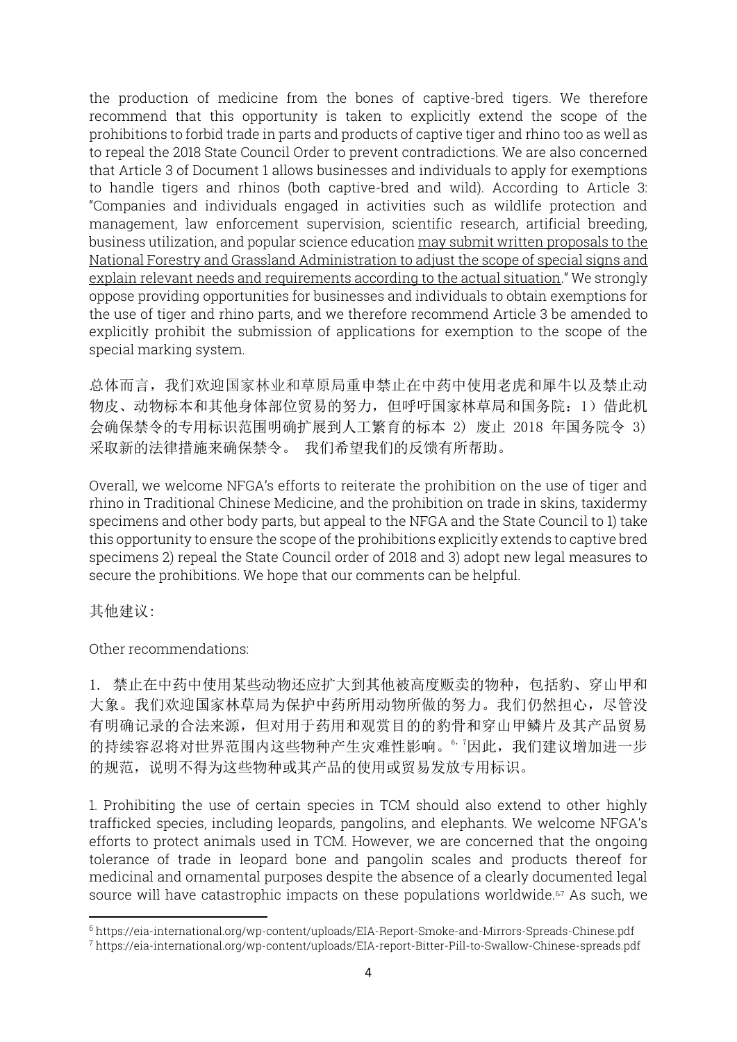the production of medicine from the bones of captive-bred tigers. We therefore recommend that this opportunity is taken to explicitly extend the scope of the prohibitions to forbid trade in parts and products of captive tiger and rhino too as well as to repeal the 2018 State Council Order to prevent contradictions. We are also concerned that Article 3 of Document 1 allows businesses and individuals to apply for exemptions to handle tigers and rhinos (both captive-bred and wild). According to Article 3: "Companies and individuals engaged in activities such as wildlife protection and management, law enforcement supervision, scientific research, artificial breeding, business utilization, and popular science education may submit written proposals to the National Forestry and Grassland Administration to adjust the scope of special signs and explain relevant needs and requirements according to the actual situation." We strongly oppose providing opportunities for businesses and individuals to obtain exemptions for the use of tiger and rhino parts, and we therefore recommend Article 3 be amended to explicitly prohibit the submission of applications for exemption to the scope of the special marking system.

总体而言,我们欢迎国家林业和草原局重申禁止在中药中使用老虎和犀牛以及禁止动 物皮、动物标本和其他身体部位贸易的努力,但呼吁国家林草局和国务院:1)借此机 会确保禁令的专用标识范围明确扩展到人工繁育的标本 2) 废止 2018 年国务院令 3) 采取新的法律措施来确保禁令。 我们希望我们的反馈有所帮助。

Overall, we welcome NFGA's efforts to reiterate the prohibition on the use of tiger and rhino in Traditional Chinese Medicine, and the prohibition on trade in skins, taxidermy specimens and other body parts, but appeal to the NFGA and the State Council to 1) take this opportunity to ensure the scope of the prohibitions explicitly extends to captive bred specimens 2) repeal the State Council order of 2018 and 3) adopt new legal measures to secure the prohibitions. We hope that our comments can be helpful.

其他建议:

Other recommendations:

1. 禁止在中药中使用某些动物还应扩大到其他被高度贩卖的物种,包括豹、穿山甲和 大象。我们欢迎国家林草局为保护中药所用动物所做的努力。我们仍然担心,尽管没 有明确记录的合法来源,但对用于药用和观赏目的的豹骨和穿山甲鳞片及其产品贸易 的持续容忍将对世界范围内这些物种产生灾难性影响。6,7因此,我们建议增加进一步 的规范,说明不得为这些物种或其产品的使用或贸易发放专用标识。

1. Prohibiting the use of certain species in TCM should also extend to other highly trafficked species, including leopards, pangolins, and elephants. We welcome NFGA's efforts to protect animals used in TCM. However, we are concerned that the ongoing tolerance of trade in leopard bone and pangolin scales and products thereof for medicinal and ornamental purposes despite the absence of a clearly documented legal source will have catastrophic impacts on these populations worldwide.<sup>6,7</sup> As such, we

<sup>6</sup> <https://eia-international.org/wp-content/uploads/EIA-Report-Smoke-and-Mirrors-Spreads-Chinese.pdf>

<sup>7</sup> <https://eia-international.org/wp-content/uploads/EIA-report-Bitter-Pill-to-Swallow-Chinese-spreads.pdf>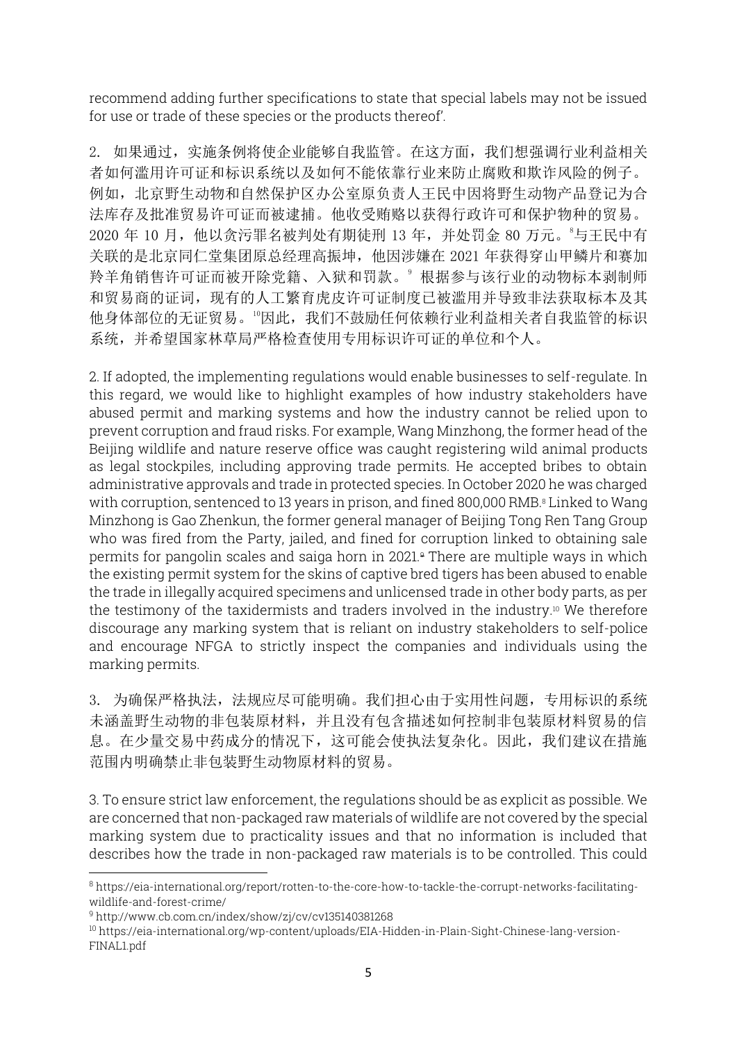recommend adding further specifications to state that special labels may not be issued for use or trade of these species or the products thereof'.

2. 如果通过,实施条例将使企业能够自我监管。在这方面,我们想强调行业利益相关 者如何滥用许可证和标识系统以及如何不能依靠行业来防止腐败和欺诈风险的例子。 例如,北京野生动物和自然保护区办公室原负责人王民中因将野生动物产品登记为合 法库存及批准贸易许可证而被逮捕。他收受贿赂以获得行政许可和保护物种的贸易。 2020年10月,他以贪污罪名被判处有期徒刑13年,并处罚金80万元。 与王民中有 关联的是北京同仁堂集团原总经理高振坤,他因涉嫌在 2021 年获得穿山甲鳞片和赛加 羚羊角销售许可证而被开除党籍、入狱和罚款。<sup>9</sup> 根据参与该行业的动物标本剥制师 和贸易商的证词,现有的人工繁育虎皮许可证制度已被滥用并导致非法获取标本及其 他身体部位的无证贸易。<sup>10</sup>因此,我们不鼓励任何依赖行业利益相关者自我监管的标识 系统,并希望国家林草局严格检查使用专用标识许可证的单位和个人。

2. If adopted, the implementing regulations would enable businesses to self-regulate. In this regard, we would like to highlight examples of how industry stakeholders have abused permit and marking systems and how the industry cannot be relied upon to prevent corruption and fraud risks. For example, Wang Minzhong, the former head of the Beijing wildlife and nature reserve office was caught registering wild animal products as legal stockpiles, including approving trade permits. He accepted bribes to obtain administrative approvals and trade in protected species. In October 2020 he was charged with corruption, sentenced to 13 years in prison, and fined 800,000 RMB.<sup>8</sup> Linked to Wang Minzhong is Gao Zhenkun, the former general manager of Beijing Tong Ren Tang Group who was fired from the Party, jailed, and fined for corruption linked to obtaining sale permits for pangolin scales and saiga horn in 2021.<sup>9</sup> There are multiple ways in which the existing permit system for the skins of captive bred tigers has been abused to enable the trade in illegally acquired specimens and unlicensed trade in other body parts, as per the testimony of the taxidermists and traders involved in the industry.<sup>10</sup> We therefore discourage any marking system that is reliant on industry stakeholders to self-police and encourage NFGA to strictly inspect the companies and individuals using the marking permits.

3. 为确保严格执法,法规应尽可能明确。我们担心由于实用性问题,专用标识的系统 未涵盖野生动物的非包装原材料,并且没有包含描述如何控制非包装原材料贸易的信 息。在少量交易中药成分的情况下,这可能会使执法复杂化。因此,我们建议在措施 范围内明确禁止非包装野生动物原材料的贸易。

3. To ensure strict law enforcement, the regulations should be as explicit as possible. We are concerned that non-packaged raw materials of wildlife are not covered by the special marking system due to practicality issues and that no information is included that describes how the trade in non-packaged raw materials is to be controlled. This could

<sup>8</sup> https://eia-international.org/report/rotten-to-the-core-how-to-tackle-the-corrupt-networks-facilitatingwildlife-and-forest-crime/

<sup>9</sup> http://www.cb.com.cn/index/show/zj/cv/cv135140381268

<sup>10</sup> https://eia-international.org/wp-content/uploads/EIA-Hidden-in-Plain-Sight-Chinese-lang-version-FINAL1.pdf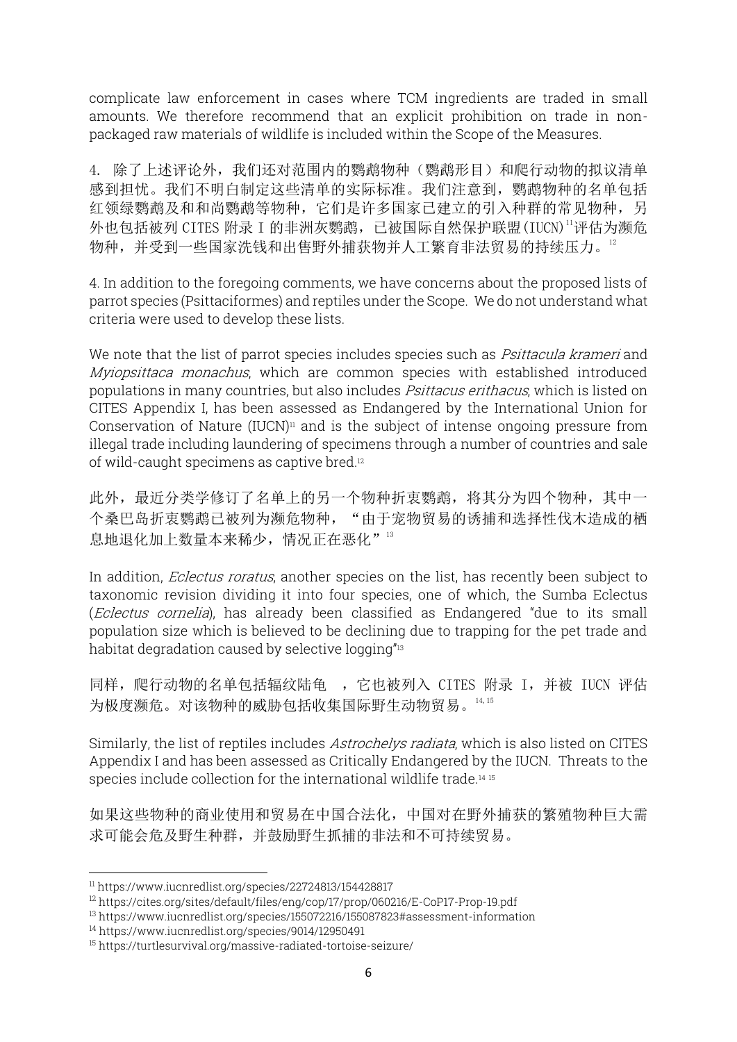complicate law enforcement in cases where TCM ingredients are traded in small amounts. We therefore recommend that an explicit prohibition on trade in nonpackaged raw materials of wildlife is included within the Scope of the Measures.

4. 除了上述评论外,我们还对范围内的鹦鹉物种(鹦鹉形目)和爬行动物的拟议清单 感到担忧。我们不明白制定这些清单的实际标准。我们注意到,鹦鹉物种的名单包括 红领绿鹦鹉及和和尚鹦鹉等物种,它们是许多国家已建立的引入种群的常见物种,另 外也包括被列 CITES 附录 I 的非洲灰鹦鹉, 已被国际自然保护联盟(IUCN)<sup>11</sup>评估为濒危 物种,并受到一些国家洗钱和出售野外捕获物并人工繁育非法贸易的持续压力。<sup>12</sup>

4. In addition to the foregoing comments, we have concerns about the proposed lists of parrot species (Psittaciformes) and reptiles under the Scope. We do not understand what criteria were used to develop these lists.

We note that the list of parrot species includes species such as *Psittacula krameri* and Myiopsittaca monachus, which are common species with established introduced populations in many countries, but also includes Psittacus erithacus, which is listed on CITES Appendix I, has been assessed as Endangered by the International Union for Conservation of Nature (IUCN) $n_1$  and is the subject of intense ongoing pressure from illegal trade including laundering of specimens through a number of countries and sale of wild-caught specimens as captive bred.<sup>12</sup>

此外,最近分类学修订了名单上的另一个物种折衷鹦鹉,将其分为四个物种,其中一 个桑巴岛折衷鹦鹉已被列为濒危物种, "由于宠物贸易的诱捕和选择性伐木造成的栖 息地退化加上数量本来稀少,情况正在恶化"13

In addition, *Eclectus roratus*, another species on the list, has recently been subject to taxonomic revision dividing it into four species, one of which, the Sumba Eclectus (Eclectus cornelia), has already been classified as Endangered "due to its small population size which is believed to be declining due to trapping for the pet trade and habitat degradation caused by selective logging"<sup>13</sup>

同样,爬行动物的名单包括辐纹陆龟 ,它也被列入 CITES 附录 I,并被 IUCN 评估 为极度濒危。对该物种的威胁包括收集国际野生动物贸易。14,15

Similarly, the list of reptiles includes Astrochelys radiata, which is also listed on CITES Appendix I and has been assessed as Critically Endangered by the IUCN. Threats to the species include collection for the international wildlife trade.<sup>14 15</sup>

如果这些物种的商业使用和贸易在中国合法化,中国对在野外捕获的繁殖物种巨大需 求可能会危及野生种群,并鼓励野生抓捕的非法和不可持续贸易。

<sup>11</sup> https://www.iucnredlist.org/species/22724813/154428817

<sup>12</sup> https://cites.org/sites/default/files/eng/cop/17/prop/060216/E-CoP17-Prop-19.pdf

<sup>13</sup> https://www.iucnredlist.org/species/155072216/155087823#assessment-information

<sup>14</sup> https://www.iucnredlist.org/species/9014/12950491

<sup>15</sup> https://turtlesurvival.org/massive-radiated-tortoise-seizure/